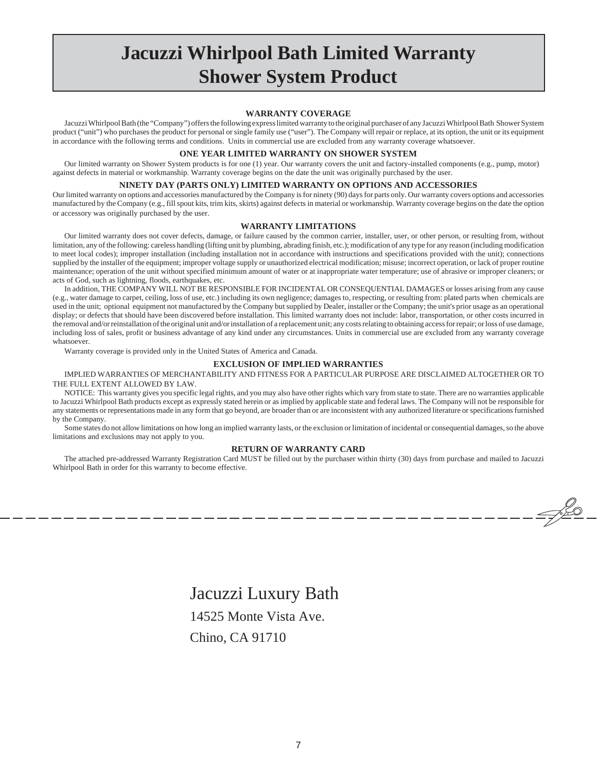# **Jacuzzi Whirlpool Bath Limited Warranty Shower System Product**

## **WARRANTY COVERAGE**

Jacuzzi Whirlpool Bath (the "Company") offers the following express limited warranty to the original purchaser of any Jacuzzi Whirlpool Bath Shower System product ("unit") who purchases the product for personal or single family use ("user"). The Company will repair or replace, at its option, the unit or its equipment in accordance with the following terms and conditions. Units in commercial use are excluded from any warranty coverage whatsoever.

# **ONE YEAR LIMITED WARRANTY ON SHOWER SYSTEM**

Our limited warranty on Shower System products is for one (1) year. Our warranty covers the unit and factory-installed components (e.g., pump, motor) against defects in material or workmanship. Warranty coverage begins on the date the unit was originally purchased by the user.

#### **NINETY DAY (PARTS ONLY) LIMITED WARRANTY ON OPTIONS AND ACCESSORIES**

Our limited warranty on options and accessories manufactured by the Company is for ninety (90) days for parts only. Our warranty covers options and accessories manufactured by the Company (e.g., fill spout kits, trim kits, skirts) against defects in material or workmanship. Warranty coverage begins on the date the option or accessory was originally purchased by the user.

#### **WARRANTY LIMITATIONS**

Our limited warranty does not cover defects, damage, or failure caused by the common carrier, installer, user, or other person, or resulting from, without limitation, any of the following: careless handling (lifting unit by plumbing, abrading finish, etc.); modification of any type for any reason (including modification to meet local codes); improper installation (including installation not in accordance with instructions and specifications provided with the unit); connections supplied by the installer of the equipment; improper voltage supply or unauthorized electrical modification; misuse; incorrect operation, or lack of proper routine maintenance; operation of the unit without specified minimum amount of water or at inappropriate water temperature; use of abrasive or improper cleaners; or acts of God, such as lightning, floods, earthquakes, etc.

In addition, THE COMPANY WILL NOT BE RESPONSIBLE FOR INCIDENTAL OR CONSEQUENTIAL DAMAGES or losses arising from any cause (e.g., water damage to carpet, ceiling, loss of use, etc.) including its own negligence; damages to, respecting, or resulting from: plated parts when chemicals are used in the unit; optional equipment not manufactured by the Company but supplied by Dealer, installer or the Company; the unit's prior usage as an operational display; or defects that should have been discovered before installation. This limited warranty does not include: labor, transportation, or other costs incurred in the removal and/or reinstallation of the original unit and/or installation of a replacement unit; any costs relating to obtaining access for repair; or loss of use damage, including loss of sales, profit or business advantage of any kind under any circumstances. Units in commercial use are excluded from any warranty coverage whatsoever.

Warranty coverage is provided only in the United States of America and Canada.

#### **EXCLUSION OF IMPLIED WARRANTIES**

IMPLIED WARRANTIES OF MERCHANTABILITY AND FITNESS FOR A PARTICULAR PURPOSE ARE DISCLAIMED ALTOGETHER OR TO THE FULL EXTENT ALLOWED BY LAW.

NOTICE: This warranty gives you specific legal rights, and you may also have other rights which vary from state to state. There are no warranties applicable to Jacuzzi Whirlpool Bath products except as expressly stated herein or as implied by applicable state and federal laws. The Company will not be responsible for any statements or representations made in any form that go beyond, are broader than or are inconsistent with any authorized literature or specifications furnished by the Company.

Some states do not allow limitations on how long an implied warranty lasts, or the exclusion or limitation of incidental or consequential damages, so the above limitations and exclusions may not apply to you.

#### **RETURN OF WARRANTY CARD**

The attached pre-addressed Warranty Registration Card MUST be filled out by the purchaser within thirty (30) days from purchase and mailed to Jacuzzi Whirlpool Bath in order for this warranty to become effective.

<u>Spo</u>

Jacuzzi Luxury Bath

14525 Monte Vista Ave.

Chino, CA 91710